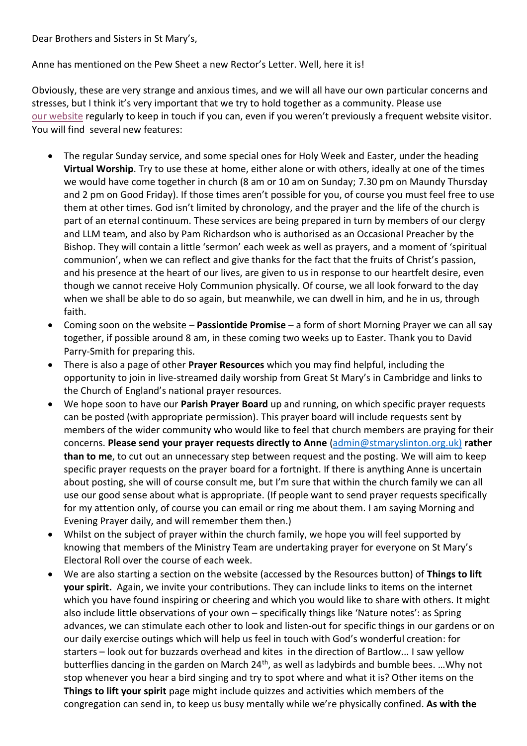Dear Brothers and Sisters in St Mary's,

Anne has mentioned on the Pew Sheet a new Rector's Letter. Well, here it is!

Obviously, these are very strange and anxious times, and we will all have our own particular concerns and stresses, but I think it's very important that we try to hold together as a community. Please use [our website](https://www.stmaryslinton.org.uk/) regularly to keep in touch if you can, even if you weren't previously a frequent website visitor. You will find several new features:

- The regular Sunday service, and some special ones for Holy Week and Easter, under the heading **Virtual Worship**. Try to use these at home, either alone or with others, ideally at one of the times we would have come together in church (8 am or 10 am on Sunday; 7.30 pm on Maundy Thursday and 2 pm on Good Friday). If those times aren't possible for you, of course you must feel free to use them at other times. God isn't limited by chronology, and the prayer and the life of the church is part of an eternal continuum. These services are being prepared in turn by members of our clergy and LLM team, and also by Pam Richardson who is authorised as an Occasional Preacher by the Bishop. They will contain a little 'sermon' each week as well as prayers, and a moment of 'spiritual communion', when we can reflect and give thanks for the fact that the fruits of Christ's passion, and his presence at the heart of our lives, are given to us in response to our heartfelt desire, even though we cannot receive Holy Communion physically. Of course, we all look forward to the day when we shall be able to do so again, but meanwhile, we can dwell in him, and he in us, through faith.
- Coming soon on the website **Passiontide Promise** a form of short Morning Prayer we can all say together, if possible around 8 am, in these coming two weeks up to Easter. Thank you to David Parry-Smith for preparing this.
- There is also a page of other **Prayer Resources** which you may find helpful, including the opportunity to join in live-streamed daily worship from Great St Mary's in Cambridge and links to the Church of England's national prayer resources.
- We hope soon to have our **Parish Prayer Board** up and running, on which specific prayer requests can be posted (with appropriate permission). This prayer board will include requests sent by members of the wider community who would like to feel that church members are praying for their concerns. **Please send your prayer requests directly to Anne** [\(admin@stmaryslinton.org.uk\)](mailto:admin@stmaryslinton.org.uk)) **rather than to me**, to cut out an unnecessary step between request and the posting. We will aim to keep specific prayer requests on the prayer board for a fortnight. If there is anything Anne is uncertain about posting, she will of course consult me, but I'm sure that within the church family we can all use our good sense about what is appropriate. (If people want to send prayer requests specifically for my attention only, of course you can email or ring me about them. I am saying Morning and Evening Prayer daily, and will remember them then.)
- Whilst on the subject of prayer within the church family, we hope you will feel supported by knowing that members of the Ministry Team are undertaking prayer for everyone on St Mary's Electoral Roll over the course of each week.
- We are also starting a section on the website (accessed by the Resources button) of **Things to lift your spirit.** Again, we invite your contributions. They can include links to items on the internet which you have found inspiring or cheering and which you would like to share with others. It might also include little observations of your own – specifically things like 'Nature notes': as Spring advances, we can stimulate each other to look and listen-out for specific things in our gardens or on our daily exercise outings which will help us feel in touch with God's wonderful creation: for starters – look out for buzzards overhead and kites in the direction of Bartlow... I saw yellow butterflies dancing in the garden on March 24<sup>th</sup>, as well as ladybirds and bumble bees. ... Why not stop whenever you hear a bird singing and try to spot where and what it is? Other items on the **Things to lift your spirit** page might include quizzes and activities which members of the congregation can send in, to keep us busy mentally while we're physically confined. **As with the**